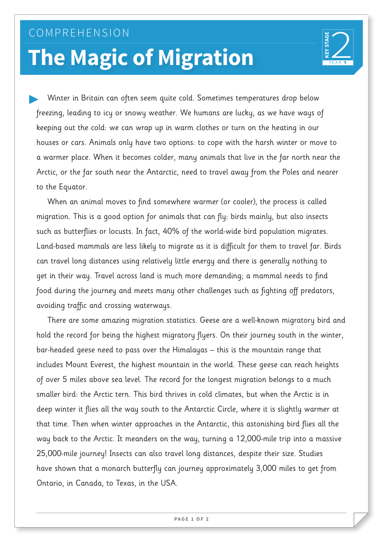## COMPREHENSION **The Magic of Migration**



Winter in Britain can often seem quite cold. Sometimes temperatures drop below freezing, leading to icy or snowy weather. We humans are lucky, as we have ways of keeping out the cold: we can wrap up in warm clothes or turn on the heating in our houses or cars. Animals only have two options: to cope with the harsh winter or move to a warmer place. When it becomes colder, many animals that live in the far north near the Arctic, or the far south near the Antarctic, need to travel away from the Poles and nearer to the Equator.

When an animal moves to find somewhere warmer (or cooler), the process is called migration. This is a good option for animals that can fly: birds mainly, but also insects such as butterflies or locusts. In fact, 40% of the world-wide bird population migrates. Land-based mammals are less likely to migrate as it is difficult for them to travel far. Birds can travel long distances using relatively little energy and there is generally nothing to get in their way. Travel across land is much more demanding; a mammal needs to find food during the journey and meets many other challenges such as fighting off predators, avoiding traffic and crossing waterways.

There are some amazing migration statistics. Geese are a well-known migratory bird and hold the record for being the highest migratory flyers. On their journey south in the winter, bar-headed geese need to pass over the Himalayas – this is the mountain range that includes Mount Everest, the highest mountain in the world. These geese can reach heights of over 5 miles above sea level. The record for the longest migration belongs to a much smaller bird: the Arctic tern. This bird thrives in cold climates, but when the Arctic is in deep winter it flies all the way south to the Antarctic Circle, where it is slightly warmer at that time. Then when winter approaches in the Antarctic, this astonishing bird flies all the way back to the Arctic. It meanders on the way, turning a 12,000-mile trip into a massive 25,000-mile journey! Insects can also travel long distances, despite their size. Studies have shown that a monarch butterfly can journey approximately 3,000 miles to get from Ontario, in Canada, to Texas, in the USA.